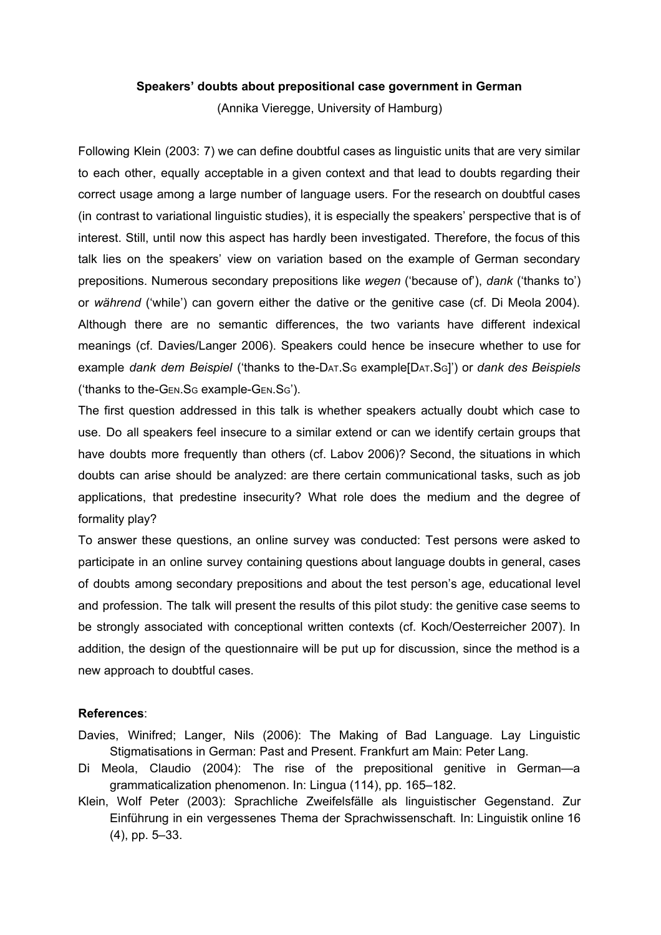## **Speakers' doubts about prepositional case government in German**

(Annika Vieregge, University of Hamburg)

Following Klein (2003: 7) we can define doubtful cases as linguistic units that are very similar to each other, equally acceptable in a given context and that lead to doubts regarding their correct usage among a large number of language users. For the research on doubtful cases (in contrast to variational linguistic studies), it is especially the speakers' perspective that is of interest. Still, until now this aspect has hardly been investigated. Therefore, the focus of this talk lies on the speakers' view on variation based on the example of German secondary prepositions. Numerous secondary prepositions like *wegen* ('because of'), *dank* ('thanks to') or *während* ('while') can govern either the dative or the genitive case (cf. Di Meola 2004). Although there are no semantic differences, the two variants have different indexical meanings (cf. Davies/Langer 2006). Speakers could hence be insecure whether to use for example *dank dem Beispiel* ('thanks to theDAT.S<sup>G</sup> example[DAT.SG]') or *dank des Beispiels* ('thanks to the-GEN.SG example-GEN.SG').

The first question addressed in this talk is whether speakers actually doubt which case to use. Do all speakers feel insecure to a similar extend or can we identify certain groups that have doubts more frequently than others (cf. Labov 2006)? Second, the situations in which doubts can arise should be analyzed: are there certain communicational tasks, such as job applications, that predestine insecurity? What role does the medium and the degree of formality play?

To answer these questions, an online survey was conducted: Test persons were asked to participate in an online survey containing questions about language doubts in general, cases of doubts among secondary prepositions and about the test person's age, educational level and profession. The talk will present the results of this pilot study: the genitive case seems to be strongly associated with conceptional written contexts (cf. Koch/Oesterreicher 2007). In addition, the design of the questionnaire will be put up for discussion, since the method is a new approach to doubtful cases.

## **References**:

- Davies, Winifred; Langer, Nils (2006): The Making of Bad Language. Lay Linguistic Stigmatisations in German: Past and Present. Frankfurt am Main: Peter Lang.
- Di Meola, Claudio (2004): The rise of the prepositional genitive in German—a grammaticalization phenomenon. In: Lingua (114), pp. 165–182.
- Klein, Wolf Peter (2003): Sprachliche Zweifelsfälle als linguistischer Gegenstand. Zur Einführung in ein vergessenes Thema der Sprachwissenschaft. In: Linguistik online 16 (4), pp. 5–33.